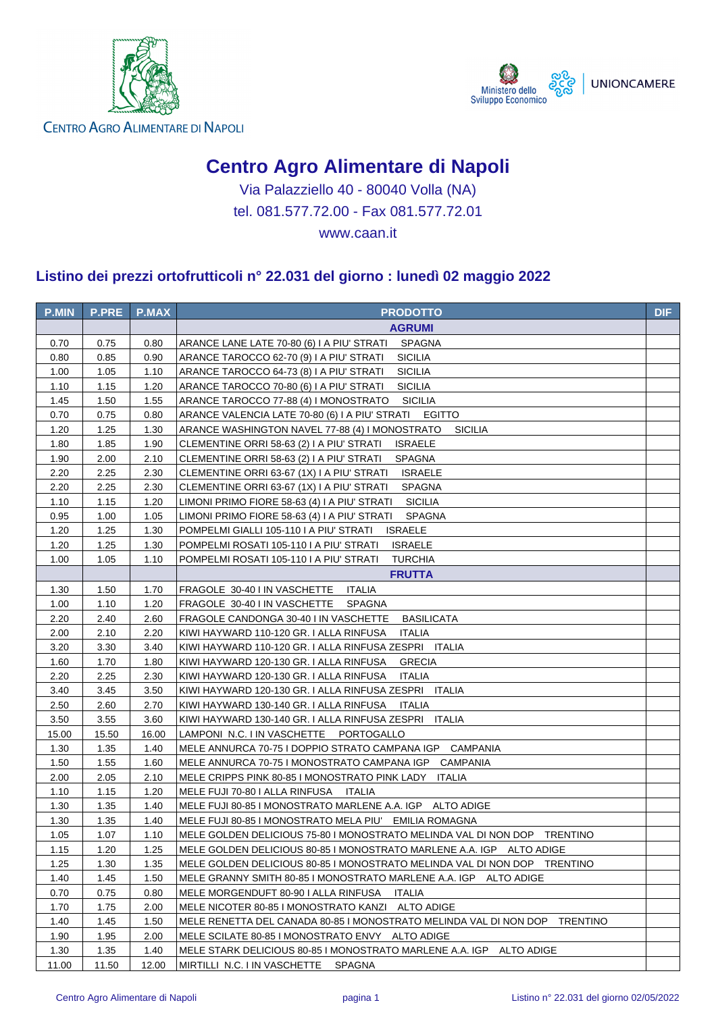



**CENTRO AGRO ALIMENTARE DI NAPOLI** 

## **Centro Agro Alimentare di Napoli**

Via Palazziello 40 - 80040 Volla (NA) tel. 081.577.72.00 - Fax 081.577.72.01

www.caan.it

## **Listino dei prezzi ortofrutticoli n° 22.031 del giorno : lunedì 02 maggio 2022**

| <b>P.MIN</b> | <b>P.PRE</b> | <b>P.MAX</b> | <b>PRODOTTO</b>                                                            | <b>DIF</b> |
|--------------|--------------|--------------|----------------------------------------------------------------------------|------------|
|              |              |              | <b>AGRUMI</b>                                                              |            |
| 0.70         | 0.75         | 0.80         | ARANCE LANE LATE 70-80 (6) I A PIU' STRATI SPAGNA                          |            |
| 0.80         | 0.85         | 0.90         | <b>SICILIA</b><br>ARANCE TAROCCO 62-70 (9) I A PIU' STRATI                 |            |
| 1.00         | 1.05         | 1.10         | <b>SICILIA</b><br>ARANCE TAROCCO 64-73 (8) I A PIU' STRATI                 |            |
| 1.10         | 1.15         | 1.20         | ARANCE TAROCCO 70-80 (6) I A PIU' STRATI<br><b>SICILIA</b>                 |            |
| 1.45         | 1.50         | 1.55         | <b>SICILIA</b><br>ARANCE TAROCCO 77-88 (4) I MONOSTRATO                    |            |
| 0.70         | 0.75         | 0.80         | ARANCE VALENCIA LATE 70-80 (6) I A PIU' STRATI EGITTO                      |            |
| 1.20         | 1.25         | 1.30         | ARANCE WASHINGTON NAVEL 77-88 (4) I MONOSTRATO<br><b>SICILIA</b>           |            |
| 1.80         | 1.85         | 1.90         | <b>ISRAELE</b><br>CLEMENTINE ORRI 58-63 (2) I A PIU' STRATI                |            |
| 1.90         | 2.00         | 2.10         | <b>SPAGNA</b><br>CLEMENTINE ORRI 58-63 (2) I A PIU' STRATI                 |            |
| 2.20         | 2.25         | 2.30         | <b>ISRAELE</b><br>CLEMENTINE ORRI 63-67 (1X) I A PIU' STRATI               |            |
| 2.20         | 2.25         | 2.30         | <b>SPAGNA</b><br>CLEMENTINE ORRI 63-67 (1X) I A PIU' STRATI                |            |
| 1.10         | 1.15         | 1.20         | LIMONI PRIMO FIORE 58-63 (4) I A PIU' STRATI<br><b>SICILIA</b>             |            |
| 0.95         | 1.00         | 1.05         | LIMONI PRIMO FIORE 58-63 (4) I A PIU' STRATI<br><b>SPAGNA</b>              |            |
| 1.20         | 1.25         | 1.30         | <b>ISRAELE</b><br>POMPELMI GIALLI 105-110 I A PIU' STRATI                  |            |
| 1.20         | 1.25         | 1.30         | POMPELMI ROSATI 105-110 I A PIU' STRATI<br><b>ISRAELE</b>                  |            |
| 1.00         | 1.05         | 1.10         | POMPELMI ROSATI 105-110 I A PIU' STRATI<br><b>TURCHIA</b>                  |            |
|              |              |              | <b>FRUTTA</b>                                                              |            |
| 1.30         | 1.50         | 1.70         | FRAGOLE 30-40 I IN VASCHETTE<br>ITALIA                                     |            |
| 1.00         | 1.10         | 1.20         | FRAGOLE 30-40 I IN VASCHETTE SPAGNA                                        |            |
| 2.20         | 2.40         | 2.60         | FRAGOLE CANDONGA 30-40 I IN VASCHETTE<br><b>BASILICATA</b>                 |            |
| 2.00         | 2.10         | 2.20         | KIWI HAYWARD 110-120 GR. I ALLA RINFUSA<br><b>ITALIA</b>                   |            |
| 3.20         | 3.30         | 3.40         | KIWI HAYWARD 110-120 GR. I ALLA RINFUSA ZESPRI ITALIA                      |            |
| 1.60         | 1.70         | 1.80         | KIWI HAYWARD 120-130 GR. I ALLA RINFUSA<br><b>GRECIA</b>                   |            |
| 2.20         | 2.25         | 2.30         | KIWI HAYWARD 120-130 GR. I ALLA RINFUSA<br>ITALIA                          |            |
| 3.40         | 3.45         | 3.50         | KIWI HAYWARD 120-130 GR. I ALLA RINFUSA ZESPRI ITALIA                      |            |
| 2.50         | 2.60         | 2.70         | KIWI HAYWARD 130-140 GR. I ALLA RINFUSA ITALIA                             |            |
| 3.50         | 3.55         | 3.60         | KIWI HAYWARD 130-140 GR. I ALLA RINFUSA ZESPRI ITALIA                      |            |
| 15.00        | 15.50        | 16.00        | LAMPONI N.C. I IN VASCHETTE PORTOGALLO                                     |            |
| 1.30         | 1.35         | 1.40         | MELE ANNURCA 70-75 I DOPPIO STRATO CAMPANA IGP CAMPANIA                    |            |
| 1.50         | 1.55         | 1.60         | MELE ANNURCA 70-75 I MONOSTRATO CAMPANA IGP CAMPANIA                       |            |
| 2.00         | 2.05         | 2.10         | MELE CRIPPS PINK 80-85 I MONOSTRATO PINK LADY ITALIA                       |            |
| 1.10         | 1.15         | 1.20         | MELE FUJI 70-80 I ALLA RINFUSA ITALIA                                      |            |
| 1.30         | 1.35         | 1.40         | MELE FUJI 80-85 I MONOSTRATO MARLENE A.A. IGP ALTO ADIGE                   |            |
| 1.30         | 1.35         | 1.40         | MELE FUJI 80-85 I MONOSTRATO MELA PIU' EMILIA ROMAGNA                      |            |
| 1.05         | 1.07         | 1.10         | MELE GOLDEN DELICIOUS 75-80 I MONOSTRATO MELINDA VAL DI NON DOP TRENTINO   |            |
| 1.15         | 1.20         | 1.25         | MELE GOLDEN DELICIOUS 80-85 I MONOSTRATO MARLENE A.A. IGP ALTO ADIGE       |            |
| 1.25         | 1.30         | 1.35         | MELE GOLDEN DELICIOUS 80-85 I MONOSTRATO MELINDA VAL DI NON DOP TRENTINO   |            |
| 1.40         | 1.45         | 1.50         | MELE GRANNY SMITH 80-85 I MONOSTRATO MARLENE A.A. IGP ALTO ADIGE           |            |
| 0.70         | 0.75         | 0.80         | MELE MORGENDUFT 80-90 I ALLA RINFUSA<br><b>ITALIA</b>                      |            |
| 1.70         | 1.75         | 2.00         | MELE NICOTER 80-85 I MONOSTRATO KANZI ALTO ADIGE                           |            |
| 1.40         | 1.45         | 1.50         | MELE RENETTA DEL CANADA 80-85 I MONOSTRATO MELINDA VAL DI NON DOP TRENTINO |            |
| 1.90         | 1.95         | 2.00         | MELE SCILATE 80-85 I MONOSTRATO ENVY ALTO ADIGE                            |            |
| 1.30         | 1.35         | 1.40         | MELE STARK DELICIOUS 80-85 I MONOSTRATO MARLENE A.A. IGP ALTO ADIGE        |            |
| 11.00        | 11.50        | 12.00        | MIRTILLI N.C. I IN VASCHETTE SPAGNA                                        |            |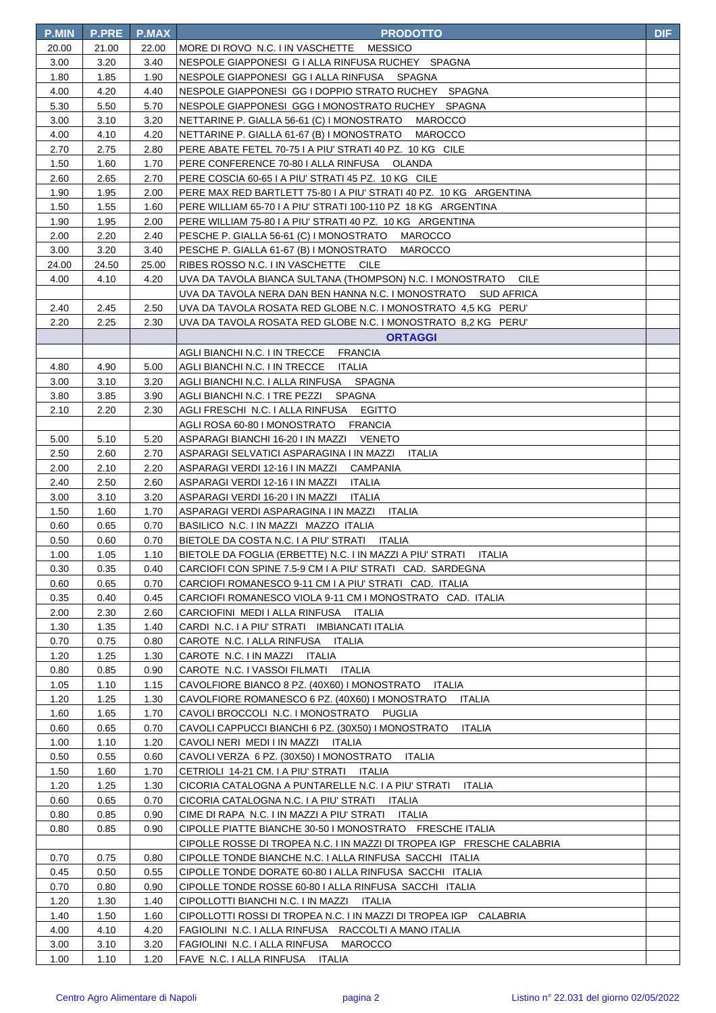| <b>P.MIN</b> | <b>P.PRE</b> | P.MAX | <b>PRODOTTO</b>                                                            | <b>DIF</b> |
|--------------|--------------|-------|----------------------------------------------------------------------------|------------|
| 20.00        | 21.00        | 22.00 | MORE DI ROVO N.C. I IN VASCHETTE<br>MESSICO                                |            |
| 3.00         | 3.20         | 3.40  | NESPOLE GIAPPONESI G I ALLA RINFUSA RUCHEY SPAGNA                          |            |
| 1.80         | 1.85         | 1.90  | NESPOLE GIAPPONESI GG I ALLA RINFUSA SPAGNA                                |            |
| 4.00         | 4.20         | 4.40  | NESPOLE GIAPPONESI GG I DOPPIO STRATO RUCHEY SPAGNA                        |            |
| 5.30         | 5.50         | 5.70  | NESPOLE GIAPPONESI GGG I MONOSTRATO RUCHEY SPAGNA                          |            |
| 3.00         | 3.10         | 3.20  | NETTARINE P. GIALLA 56-61 (C) I MONOSTRATO<br>MAROCCO                      |            |
| 4.00         | 4.10         | 4.20  | NETTARINE P. GIALLA 61-67 (B) I MONOSTRATO<br>MAROCCO                      |            |
| 2.70         | 2.75         | 2.80  | PERE ABATE FETEL 70-75 I A PIU' STRATI 40 PZ. 10 KG CILE                   |            |
| 1.50         | 1.60         | 1.70  | PERE CONFERENCE 70-80   ALLA RINFUSA OLANDA                                |            |
| 2.60         | 2.65         | 2.70  | PERE COSCIA 60-65 I A PIU' STRATI 45 PZ. 10 KG CILE                        |            |
| 1.90         | 1.95         | 2.00  | PERE MAX RED BARTLETT 75-80 I A PIU' STRATI 40 PZ. 10 KG ARGENTINA         |            |
| 1.50         | 1.55         | 1.60  | PERE WILLIAM 65-70 I A PIU' STRATI 100-110 PZ 18 KG ARGENTINA              |            |
| 1.90         | 1.95         | 2.00  | PERE WILLIAM 75-80 I A PIU' STRATI 40 PZ. 10 KG ARGENTINA                  |            |
| 2.00         | 2.20         | 2.40  | PESCHE P. GIALLA 56-61 (C) I MONOSTRATO MAROCCO                            |            |
| 3.00         | 3.20         | 3.40  | PESCHE P. GIALLA 61-67 (B) I MONOSTRATO<br><b>MAROCCO</b>                  |            |
| 24.00        | 24.50        | 25.00 | RIBES ROSSO N.C. I IN VASCHETTE CILE                                       |            |
| 4.00         | 4.10         | 4.20  | UVA DA TAVOLA BIANCA SULTANA (THOMPSON) N.C. I MONOSTRATO CILE             |            |
|              |              |       | UVA DA TAVOLA NERA DAN BEN HANNA N.C. I MONOSTRATO SUD AFRICA              |            |
| 2.40         | 2.45         | 2.50  | UVA DA TAVOLA ROSATA RED GLOBE N.C. I MONOSTRATO 4,5 KG PERU'              |            |
| 2.20         | 2.25         | 2.30  | UVA DA TAVOLA ROSATA RED GLOBE N.C. I MONOSTRATO 8,2 KG PERU'              |            |
|              |              |       | <b>ORTAGGI</b>                                                             |            |
|              |              |       | AGLI BIANCHI N.C. I IN TRECCE<br><b>FRANCIA</b>                            |            |
| 4.80         | 4.90         | 5.00  | AGLI BIANCHI N.C. I IN TRECCE ITALIA                                       |            |
| 3.00         | 3.10         | 3.20  | AGLI BIANCHI N.C. I ALLA RINFUSA<br>SPAGNA                                 |            |
| 3.80         | 3.85         | 3.90  | AGLI BIANCHI N.C. I TRE PEZZI<br>SPAGNA                                    |            |
| 2.10         | 2.20         | 2.30  | <b>EGITTO</b><br>AGLI FRESCHI N.C. I ALLA RINFUSA                          |            |
|              |              |       | AGLI ROSA 60-80 I MONOSTRATO FRANCIA                                       |            |
| 5.00         | 5.10         | 5.20  | ASPARAGI BIANCHI 16-20 I IN MAZZI VENETO                                   |            |
| 2.50         | 2.60         | 2.70  | ASPARAGI SELVATICI ASPARAGINA I IN MAZZI<br>ITALIA                         |            |
| 2.00         | 2.10         | 2.20  | ASPARAGI VERDI 12-16 I IN MAZZI CAMPANIA                                   |            |
| 2.40         | 2.50         | 2.60  | ASPARAGI VERDI 12-16 I IN MAZZI<br>ITALIA                                  |            |
| 3.00         | 3.10         | 3.20  | ASPARAGI VERDI 16-20 I IN MAZZI ITALIA                                     |            |
| 1.50         | 1.60         | 1.70  | ASPARAGI VERDI ASPARAGINA I IN MAZZI ITALIA                                |            |
| 0.60         | 0.65         | 0.70  | BASILICO N.C. I IN MAZZI MAZZO ITALIA                                      |            |
| 0.50         | 0.60         | 0.70  | BIETOLE DA COSTA N.C. I A PIU' STRATI ITALIA                               |            |
| 1.00         | 1.05         | 1.10  | BIETOLE DA FOGLIA (ERBETTE) N.C. I IN MAZZI A PIU' STRATI<br><b>ITALIA</b> |            |
| 0.30         | 0.35         | 0.40  | CARCIOFI CON SPINE 7.5-9 CM I A PIU' STRATI CAD. SARDEGNA                  |            |
| 0.60         | 0.65         | 0.70  | CARCIOFI ROMANESCO 9-11 CM I A PIU' STRATI CAD. ITALIA                     |            |
| 0.35         | 0.40         | 0.45  | CARCIOFI ROMANESCO VIOLA 9-11 CM I MONOSTRATO CAD. ITALIA                  |            |
| 2.00         | 2.30         | 2.60  | CARCIOFINI MEDI I ALLA RINFUSA ITALIA                                      |            |
| 1.30         | 1.35         | 1.40  | CARDI N.C. I A PIU' STRATI IMBIANCATI ITALIA                               |            |
| 0.70         | 0.75         | 0.80  | CAROTE N.C. I ALLA RINFUSA ITALIA                                          |            |
| 1.20         | 1.25         | 1.30  | CAROTE N.C. I IN MAZZI ITALIA                                              |            |
| 0.80         | 0.85         | 0.90  | CAROTE N.C. I VASSOI FILMATI ITALIA                                        |            |
| 1.05         | 1.10         | 1.15  | CAVOLFIORE BIANCO 8 PZ. (40X60) I MONOSTRATO<br><b>ITALIA</b>              |            |
| 1.20         | 1.25         | 1.30  | CAVOLFIORE ROMANESCO 6 PZ. (40X60) I MONOSTRATO<br><b>ITALIA</b>           |            |
| 1.60         | 1.65         | 1.70  | CAVOLI BROCCOLI N.C. I MONOSTRATO<br>PUGLIA                                |            |
| 0.60         | 0.65         | 0.70  | CAVOLI CAPPUCCI BIANCHI 6 PZ. (30X50) I MONOSTRATO<br>ITALIA               |            |
| 1.00         | 1.10         | 1.20  | CAVOLI NERI MEDI I IN MAZZI ITALIA                                         |            |
| 0.50         | 0.55         | 0.60  | CAVOLI VERZA 6 PZ. (30X50) I MONOSTRATO<br>ITALIA                          |            |
| 1.50         | 1.60         | 1.70  | CETRIOLI 14-21 CM. I A PIU' STRATI ITALIA                                  |            |
| 1.20         | 1.25         | 1.30  | CICORIA CATALOGNA A PUNTARELLE N.C. I A PIU' STRATI<br>ITALIA              |            |
| 0.60         | 0.65         | 0.70  | CICORIA CATALOGNA N.C. I A PIU' STRATI ITALIA                              |            |
| 0.80         | 0.85         | 0.90  | CIME DI RAPA N.C. I IN MAZZI A PIU' STRATI ITALIA                          |            |
| 0.80         | 0.85         | 0.90  | CIPOLLE PIATTE BIANCHE 30-50 I MONOSTRATO FRESCHE ITALIA                   |            |
|              |              |       | CIPOLLE ROSSE DI TROPEA N.C. I IN MAZZI DI TROPEA IGP FRESCHE CALABRIA     |            |
| 0.70         | 0.75         | 0.80  | CIPOLLE TONDE BIANCHE N.C. I ALLA RINFUSA SACCHI ITALIA                    |            |
| 0.45         | 0.50         | 0.55  | CIPOLLE TONDE DORATE 60-80   ALLA RINFUSA SACCHI ITALIA                    |            |
| 0.70         | 0.80         | 0.90  | CIPOLLE TONDE ROSSE 60-80   ALLA RINFUSA SACCHI ITALIA                     |            |
| 1.20         | 1.30         | 1.40  | CIPOLLOTTI BIANCHI N.C. I IN MAZZI ITALIA                                  |            |
| 1.40         | 1.50         | 1.60  | CIPOLLOTTI ROSSI DI TROPEA N.C. I IN MAZZI DI TROPEA IGP CALABRIA          |            |
| 4.00         | 4.10         | 4.20  | FAGIOLINI N.C. I ALLA RINFUSA RACCOLTI A MANO ITALIA                       |            |
| 3.00         | 3.10         | 3.20  | FAGIOLINI_N.C. I ALLA RINFUSA<br><b>MAROCCO</b>                            |            |
| 1.00         | 1.10         | 1.20  | FAVE N.C. I ALLA RINFUSA ITALIA                                            |            |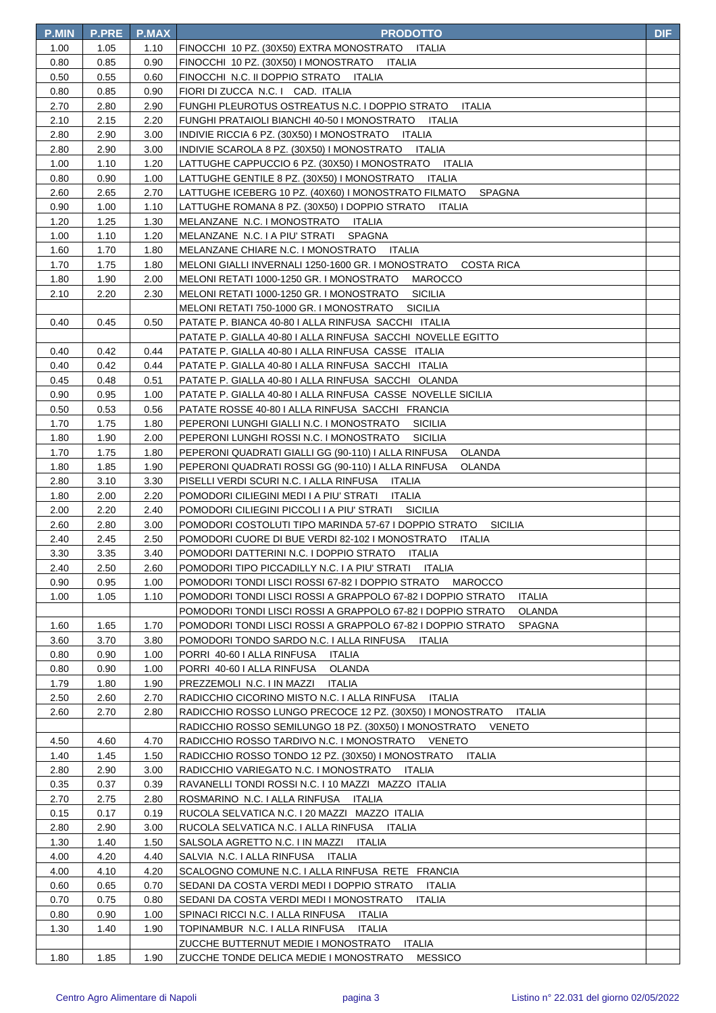| <b>P.MIN</b> | <b>P.PRE</b> | <b>P.MAX</b> | <b>PRODOTTO</b>                                                                                                   | <b>DIF</b> |
|--------------|--------------|--------------|-------------------------------------------------------------------------------------------------------------------|------------|
| 1.00         | 1.05         | 1.10         | FINOCCHI 10 PZ. (30X50) EXTRA MONOSTRATO ITALIA                                                                   |            |
| 0.80         | 0.85         | 0.90         | FINOCCHI 10 PZ. (30X50) I MONOSTRATO ITALIA                                                                       |            |
| 0.50         | 0.55         | 0.60         | FINOCCHI N.C. II DOPPIO STRATO ITALIA                                                                             |            |
| 0.80         | 0.85         | 0.90         | FIORI DI ZUCCA N.C. I CAD. ITALIA                                                                                 |            |
| 2.70         | 2.80         | 2.90         | FUNGHI PLEUROTUS OSTREATUS N.C. I DOPPIO STRATO<br><b>ITALIA</b>                                                  |            |
| 2.10         | 2.15         | 2.20         | FUNGHI PRATAIOLI BIANCHI 40-50 I MONOSTRATO ITALIA                                                                |            |
| 2.80         | 2.90         | 3.00         | INDIVIE RICCIA 6 PZ. (30X50) I MONOSTRATO ITALIA                                                                  |            |
| 2.80         | 2.90         | 3.00         | INDIVIE SCAROLA 8 PZ. (30X50) I MONOSTRATO ITALIA                                                                 |            |
| 1.00         | 1.10         | 1.20         | LATTUGHE CAPPUCCIO 6 PZ. (30X50) I MONOSTRATO ITALIA                                                              |            |
| 0.80         | 0.90         | 1.00         | LATTUGHE GENTILE 8 PZ. (30X50) I MONOSTRATO ITALIA                                                                |            |
| 2.60         | 2.65         | 2.70         | LATTUGHE ICEBERG 10 PZ. (40X60) I MONOSTRATO FILMATO<br>SPAGNA                                                    |            |
| 0.90         | 1.00         | 1.10         | LATTUGHE ROMANA 8 PZ. (30X50) I DOPPIO STRATO<br>ITALIA                                                           |            |
| 1.20         | 1.25         | 1.30         | MELANZANE N.C. I MONOSTRATO ITALIA                                                                                |            |
| 1.00         | 1.10         | 1.20         | MELANZANE N.C. I A PIU' STRATI<br>SPAGNA                                                                          |            |
| 1.60         | 1.70         | 1.80         | MELANZANE CHIARE N.C. I MONOSTRATO ITALIA                                                                         |            |
| 1.70         | 1.75         | 1.80         | MELONI GIALLI INVERNALI 1250-1600 GR. I MONOSTRATO<br><b>COSTA RICA</b>                                           |            |
| 1.80         | 1.90         | 2.00         | MELONI RETATI 1000-1250 GR. I MONOSTRATO<br>MAROCCO                                                               |            |
| 2.10         | 2.20         | 2.30         | MELONI RETATI 1000-1250 GR. I MONOSTRATO<br><b>SICILIA</b>                                                        |            |
|              |              |              | MELONI RETATI 750-1000 GR. I MONOSTRATO<br><b>SICILIA</b>                                                         |            |
| 0.40         | 0.45         | 0.50         | PATATE P. BIANCA 40-80   ALLA RINFUSA SACCHI ITALIA                                                               |            |
|              |              |              | PATATE P. GIALLA 40-80 I ALLA RINFUSA SACCHI NOVELLE EGITTO                                                       |            |
| 0.40         | 0.42         | 0.44         | PATATE P. GIALLA 40-80   ALLA RINFUSA CASSE ITALIA                                                                |            |
| 0.40         | 0.42         | 0.44         | PATATE P. GIALLA 40-80 I ALLA RINFUSA SACCHI ITALIA                                                               |            |
| 0.45         | 0.48         | 0.51         | PATATE P. GIALLA 40-80 I ALLA RINFUSA SACCHI OLANDA                                                               |            |
| 0.90         | 0.95         | 1.00         | PATATE P. GIALLA 40-80 I ALLA RINFUSA CASSE NOVELLE SICILIA                                                       |            |
| 0.50         | 0.53         | 0.56         | PATATE ROSSE 40-80 I ALLA RINFUSA SACCHI FRANCIA                                                                  |            |
| 1.70         | 1.75         | 1.80         | PEPERONI LUNGHI GIALLI N.C. I MONOSTRATO<br><b>SICILIA</b>                                                        |            |
| 1.80         | 1.90         | 2.00         | PEPERONI LUNGHI ROSSI N.C. I MONOSTRATO<br><b>SICILIA</b>                                                         |            |
| 1.70         | 1.75         | 1.80         | PEPERONI QUADRATI GIALLI GG (90-110) I ALLA RINFUSA<br>OLANDA                                                     |            |
| 1.80         | 1.85         | 1.90         | PEPERONI QUADRATI ROSSI GG (90-110) I ALLA RINFUSA<br>OLANDA                                                      |            |
| 2.80<br>1.80 | 3.10<br>2.00 | 3.30<br>2.20 | PISELLI VERDI SCURI N.C. I ALLA RINFUSA ITALIA                                                                    |            |
| 2.00         | 2.20         | 2.40         | POMODORI CILIEGINI MEDI I A PIU' STRATI<br>ITALIA<br>POMODORI CILIEGINI PICCOLI I A PIU' STRATI<br><b>SICILIA</b> |            |
| 2.60         | 2.80         | 3.00         | POMODORI COSTOLUTI TIPO MARINDA 57-67 I DOPPIO STRATO<br><b>SICILIA</b>                                           |            |
| 2.40         | 2.45         | 2.50         | POMODORI CUORE DI BUE VERDI 82-102 I MONOSTRATO<br>ITALIA                                                         |            |
| 3.30         | 3.35         | 3.40         | POMODORI DATTERINI N.C. I DOPPIO STRATO ITALIA                                                                    |            |
| 2.40         | 2.50         | 2.60         | POMODORI TIPO PICCADILLY N.C. I A PIU' STRATI ITALIA                                                              |            |
| 0.90         | 0.95         | 1.00         | POMODORI TONDI LISCI ROSSI 67-82 I DOPPIO STRATO MAROCCO                                                          |            |
| 1.00         | 1.05         | 1.10         | POMODORI TONDI LISCI ROSSI A GRAPPOLO 67-82 I DOPPIO STRATO<br><b>ITALIA</b>                                      |            |
|              |              |              | POMODORI TONDI LISCI ROSSI A GRAPPOLO 67-82 I DOPPIO STRATO<br>OLANDA                                             |            |
| 1.60         | 1.65         | 1.70         | POMODORI TONDI LISCI ROSSI A GRAPPOLO 67-82 I DOPPIO STRATO<br><b>SPAGNA</b>                                      |            |
| 3.60         | 3.70         | 3.80         | POMODORI TONDO SARDO N.C. I ALLA RINFUSA ITALIA                                                                   |            |
| 0.80         | 0.90         | 1.00         | PORRI 40-60   ALLA RINFUSA<br>ITALIA                                                                              |            |
| 0.80         | 0.90         | 1.00         | PORRI 40-60   ALLA RINFUSA<br>OLANDA                                                                              |            |
| 1.79         | 1.80         | 1.90         | PREZZEMOLI N.C. I IN MAZZI<br><b>ITALIA</b>                                                                       |            |
| 2.50         | 2.60         | 2.70         | RADICCHIO CICORINO MISTO N.C. I ALLA RINFUSA ITALIA                                                               |            |
| 2.60         | 2.70         | 2.80         | RADICCHIO ROSSO LUNGO PRECOCE 12 PZ. (30X50) I MONOSTRATO<br>ITALIA                                               |            |
|              |              |              | RADICCHIO ROSSO SEMILUNGO 18 PZ. (30X50) I MONOSTRATO<br>VENETO                                                   |            |
| 4.50         | 4.60         | 4.70         | RADICCHIO ROSSO TARDIVO N.C. I MONOSTRATO VENETO                                                                  |            |
| 1.40         | 1.45         | 1.50         | RADICCHIO ROSSO TONDO 12 PZ. (30X50) I MONOSTRATO<br>ITALIA                                                       |            |
| 2.80         | 2.90         | 3.00         | RADICCHIO VARIEGATO N.C. I MONOSTRATO<br>ITALIA                                                                   |            |
| 0.35         | 0.37         | 0.39         | RAVANELLI TONDI ROSSI N.C. I 10 MAZZI MAZZO ITALIA                                                                |            |
| 2.70         | 2.75         | 2.80         | ROSMARINO N.C. I ALLA RINFUSA<br>ITALIA                                                                           |            |
| 0.15         | 0.17         | 0.19         | RUCOLA SELVATICA N.C. I 20 MAZZI MAZZO ITALIA                                                                     |            |
| 2.80         | 2.90         | 3.00         | RUCOLA SELVATICA N.C. I ALLA RINFUSA ITALIA                                                                       |            |
| 1.30         | 1.40         | 1.50         | SALSOLA AGRETTO N.C. I IN MAZZI<br>ITALIA                                                                         |            |
| 4.00         | 4.20         | 4.40         | SALVIA N.C. I ALLA RINFUSA ITALIA                                                                                 |            |
| 4.00         | 4.10         | 4.20         | SCALOGNO COMUNE N.C. I ALLA RINFUSA RETE FRANCIA                                                                  |            |
| 0.60         | 0.65         | 0.70         | SEDANI DA COSTA VERDI MEDI I DOPPIO STRATO ITALIA                                                                 |            |
| 0.70         | 0.75         | 0.80         | SEDANI DA COSTA VERDI MEDI I MONOSTRATO<br>ITALIA                                                                 |            |
| 0.80         | 0.90         | 1.00         | SPINACI RICCI N.C. I ALLA RINFUSA<br>ITALIA                                                                       |            |
| 1.30         | 1.40         | 1.90         | TOPINAMBUR N.C. I ALLA RINFUSA<br><b>ITALIA</b>                                                                   |            |
|              |              |              | ZUCCHE BUTTERNUT MEDIE I MONOSTRATO<br><b>ITALIA</b>                                                              |            |
| 1.80         | 1.85         | 1.90         | ZUCCHE TONDE DELICA MEDIE I MONOSTRATO<br><b>MESSICO</b>                                                          |            |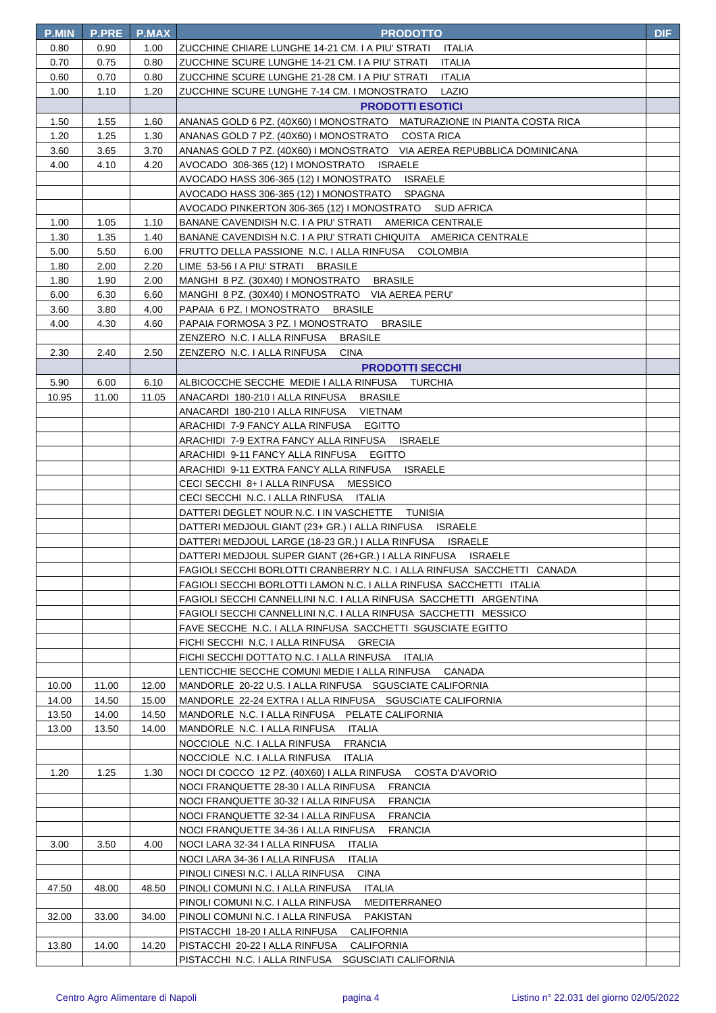| <b>P.MIN</b> | <b>P.PRE</b> | <b>P.MAX</b> | <b>PRODOTTO</b>                                                         | <b>DIF</b> |
|--------------|--------------|--------------|-------------------------------------------------------------------------|------------|
| 0.80         | 0.90         | 1.00         | ZUCCHINE CHIARE LUNGHE 14-21 CM. I A PIU' STRATI ITALIA                 |            |
| 0.70         | 0.75         | 0.80         | ZUCCHINE SCURE LUNGHE 14-21 CM. I A PIU' STRATI<br>ITALIA               |            |
| 0.60         | 0.70         | 0.80         | ZUCCHINE SCURE LUNGHE 21-28 CM. I A PIU' STRATI<br>ITALIA               |            |
| 1.00         | 1.10         | 1.20         | ZUCCHINE SCURE LUNGHE 7-14 CM. I MONOSTRATO<br>LAZIO                    |            |
|              |              |              | <b>PRODOTTI ESOTICI</b>                                                 |            |
| 1.50         | 1.55         | 1.60         | ANANAS GOLD 6 PZ. (40X60) I MONOSTRATO MATURAZIONE IN PIANTA COSTA RICA |            |
| 1.20         | 1.25         | 1.30         | ANANAS GOLD 7 PZ. (40X60) I MONOSTRATO COSTA RICA                       |            |
| 3.60         | 3.65         | 3.70         | ANANAS GOLD 7 PZ. (40X60) I MONOSTRATO VIA AEREA REPUBBLICA DOMINICANA  |            |
| 4.00         | 4.10         | 4.20         | AVOCADO 306-365 (12) I MONOSTRATO ISRAELE                               |            |
|              |              |              | AVOCADO HASS 306-365 (12) I MONOSTRATO<br><b>ISRAELE</b>                |            |
|              |              |              | AVOCADO HASS 306-365 (12) I MONOSTRATO<br>SPAGNA                        |            |
|              |              |              | AVOCADO PINKERTON 306-365 (12) I MONOSTRATO SUD AFRICA                  |            |
| 1.00         | 1.05         | 1.10         | BANANE CAVENDISH N.C. I A PIU' STRATI AMERICA CENTRALE                  |            |
| 1.30         | 1.35         | 1.40         | BANANE CAVENDISH N.C. I A PIU' STRATI CHIQUITA AMERICA CENTRALE         |            |
| 5.00         | 5.50         | 6.00         | FRUTTO DELLA PASSIONE N.C. I ALLA RINFUSA COLOMBIA                      |            |
| 1.80         | 2.00         | 2.20         | LIME 53-56 I A PIU' STRATI<br><b>BRASILE</b>                            |            |
| 1.80         | 1.90         | 2.00         | MANGHI 8 PZ. (30X40) I MONOSTRATO BRASILE                               |            |
| 6.00         | 6.30         | 6.60         | MANGHI 8 PZ. (30X40) I MONOSTRATO VIA AEREA PERU'                       |            |
| 3.60         | 3.80         | 4.00         | PAPAIA 6 PZ. I MONOSTRATO BRASILE                                       |            |
| 4.00         | 4.30         | 4.60         | PAPAIA FORMOSA 3 PZ. I MONOSTRATO BRASILE                               |            |
|              |              |              | ZENZERO N.C. I ALLA RINFUSA<br><b>BRASILE</b>                           |            |
| 2.30         | 2.40         | 2.50         | ZENZERO N.C. I ALLA RINFUSA<br><b>CINA</b>                              |            |
|              |              |              | <b>PRODOTTI SECCHI</b>                                                  |            |
| 5.90         | 6.00         | 6.10         | ALBICOCCHE SECCHE MEDIE I ALLA RINFUSA TURCHIA                          |            |
| 10.95        | 11.00        | 11.05        | ANACARDI 180-210 I ALLA RINFUSA BRASILE                                 |            |
|              |              |              | ANACARDI 180-210 I ALLA RINFUSA VIETNAM                                 |            |
|              |              |              | ARACHIDI 7-9 FANCY ALLA RINFUSA EGITTO                                  |            |
|              |              |              | ARACHIDI 7-9 EXTRA FANCY ALLA RINFUSA ISRAELE                           |            |
|              |              |              | ARACHIDI 9-11 FANCY ALLA RINFUSA EGITTO                                 |            |
|              |              |              | ARACHIDI 9-11 EXTRA FANCY ALLA RINFUSA ISRAELE                          |            |
|              |              |              | CECI SECCHI 8+ I ALLA RINFUSA MESSICO                                   |            |
|              |              |              | CECI SECCHI N.C. I ALLA RINFUSA ITALIA                                  |            |
|              |              |              | DATTERI DEGLET NOUR N.C. I IN VASCHETTE TUNISIA                         |            |
|              |              |              | DATTERI MEDJOUL GIANT (23+ GR.) I ALLA RINFUSA ISRAELE                  |            |
|              |              |              | DATTERI MEDJOUL LARGE (18-23 GR.) I ALLA RINFUSA ISRAELE                |            |
|              |              |              | DATTERI MEDJOUL SUPER GIANT (26+GR.) I ALLA RINFUSA ISRAELE             |            |
|              |              |              | FAGIOLI SECCHI BORLOTTI CRANBERRY N.C. I ALLA RINFUSA SACCHETTI CANADA  |            |
|              |              |              | FAGIOLI SECCHI BORLOTTI LAMON N.C. I ALLA RINFUSA SACCHETTI ITALIA      |            |
|              |              |              | FAGIOLI SECCHI CANNELLINI N.C. I ALLA RINFUSA SACCHETTI ARGENTINA       |            |
|              |              |              | FAGIOLI SECCHI CANNELLINI N.C. I ALLA RINFUSA SACCHETTI MESSICO         |            |
|              |              |              | FAVE SECCHE N.C. I ALLA RINFUSA SACCHETTI SGUSCIATE EGITTO              |            |
|              |              |              | FICHI SECCHI N.C. I ALLA RINFUSA GRECIA                                 |            |
|              |              |              | FICHI SECCHI DOTTATO N.C. I ALLA RINFUSA ITALIA                         |            |
|              |              |              | LENTICCHIE SECCHE COMUNI MEDIE I ALLA RINFUSA CANADA                    |            |
| 10.00        | 11.00        | 12.00        | MANDORLE 20-22 U.S. I ALLA RINFUSA SGUSCIATE CALIFORNIA                 |            |
| 14.00        | 14.50        | 15.00        | MANDORLE 22-24 EXTRA I ALLA RINFUSA SGUSCIATE CALIFORNIA                |            |
| 13.50        | 14.00        | 14.50        | MANDORLE N.C. I ALLA RINFUSA PELATE CALIFORNIA                          |            |
| 13.00        | 13.50        | 14.00        | MANDORLE N.C. I ALLA RINFUSA ITALIA                                     |            |
|              |              |              | NOCCIOLE N.C. I ALLA RINFUSA<br><b>FRANCIA</b>                          |            |
|              |              |              | NOCCIOLE N.C. I ALLA RINFUSA<br>ITALIA                                  |            |
| 1.20         | 1.25         | 1.30         | NOCI DI COCCO 12 PZ. (40X60) I ALLA RINFUSA COSTA D'AVORIO              |            |
|              |              |              | NOCI FRANQUETTE 28-30 I ALLA RINFUSA<br><b>FRANCIA</b>                  |            |
|              |              |              | NOCI FRANQUETTE 30-32 I ALLA RINFUSA<br><b>FRANCIA</b>                  |            |
|              |              |              | NOCI FRANQUETTE 32-34 I ALLA RINFUSA<br><b>FRANCIA</b>                  |            |
|              |              |              | NOCI FRANQUETTE 34-36   ALLA RINFUSA<br><b>FRANCIA</b>                  |            |
| 3.00         | 3.50         | 4.00         | NOCI LARA 32-34 I ALLA RINFUSA ITALIA                                   |            |
|              |              |              | NOCI LARA 34-36 I ALLA RINFUSA<br>ITALIA                                |            |
|              |              |              | PINOLI CINESI N.C. I ALLA RINFUSA<br>CINA                               |            |
| 47.50        | 48.00        | 48.50        | ITALIA<br>PINOLI COMUNI N.C. I ALLA RINFUSA                             |            |
|              |              |              | PINOLI COMUNI N.C. I ALLA RINFUSA<br><b>MEDITERRANEO</b>                |            |
| 32.00        | 33.00        | 34.00        | PINOLI COMUNI N.C. I ALLA RINFUSA<br>PAKISTAN                           |            |
|              |              |              | PISTACCHI 18-20 I ALLA RINFUSA<br>CALIFORNIA                            |            |
| 13.80        | 14.00        | 14.20        | PISTACCHI 20-22 I ALLA RINFUSA<br><b>CALIFORNIA</b>                     |            |
|              |              |              | PISTACCHI N.C. I ALLA RINFUSA SGUSCIATI CALIFORNIA                      |            |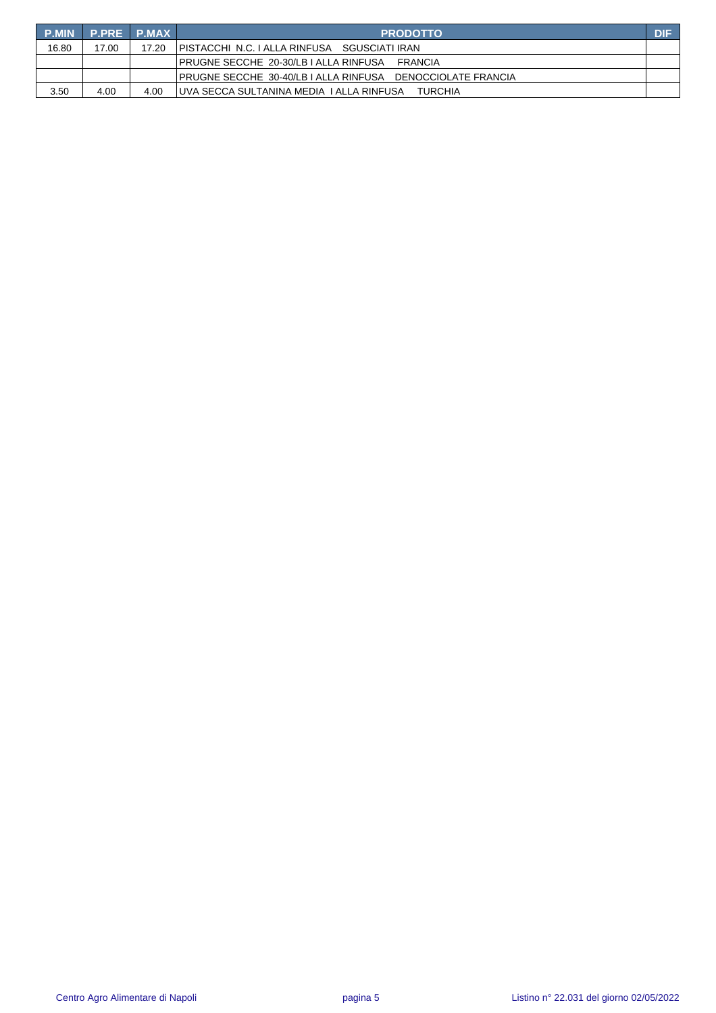| <b>P.MIN</b> | <b>P.PRE P.MAX</b> |       | <b>PRODOTTO</b>                                               | <b>DIF</b> |
|--------------|--------------------|-------|---------------------------------------------------------------|------------|
| 16.80        | 17.00              | 17.20 | IPISTACCHI N.C. I ALLA RINFUSA SGUSCIATI IRAN                 |            |
|              |                    |       | IPRUGNE SECCHE_20-30/LB I ALLA RINFUSA __ FRANCIA             |            |
|              |                    |       | IPRUGNE SECCHE_30-40/LB I ALLA RINFUSA _ DENOCCIOLATE FRANCIA |            |
| 3.50         | 4.00               | 4.00  | TUVA SECCA SULTANINA MEDIA TALLA RINFUSA<br><b>TURCHIA</b>    |            |